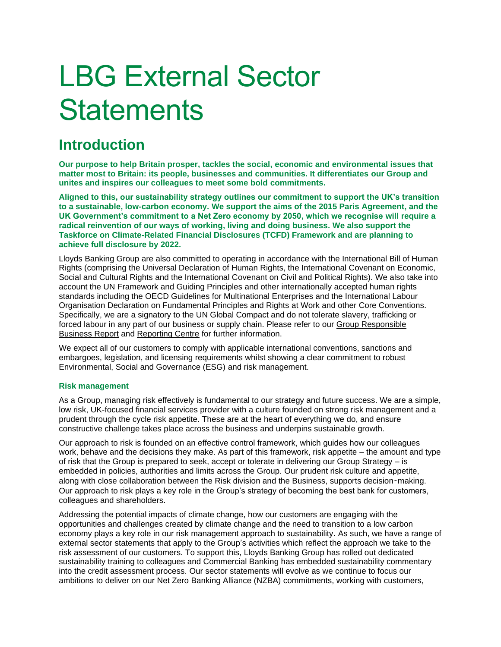# LBG External Sector **Statements**

# **Introduction**

**Our purpose to help Britain prosper, tackles the social, economic and environmental issues that matter most to Britain: its people, businesses and communities. It differentiates our Group and unites and inspires our colleagues to meet some bold commitments.**

**Aligned to this, our sustainability strategy outlines our commitment to support the UK's transition to a sustainable, low-carbon economy. We support the aims of the 2015 Paris Agreement, and the UK Government's commitment to a Net Zero economy by 2050, which we recognise will require a radical reinvention of our ways of working, living and doing business. We also support the Taskforce on Climate-Related Financial Disclosures (TCFD) Framework and are planning to achieve full disclosure by 2022.**

Lloyds Banking Group are also committed to operating in accordance with the International Bill of Human Rights (comprising the Universal Declaration of Human Rights, the International Covenant on Economic, Social and Cultural Rights and the International Covenant on Civil and Political Rights). We also take into account the UN Framework and Guiding Principles and other internationally accepted human rights standards including the OECD Guidelines for Multinational Enterprises and the International Labour Organisation Declaration on Fundamental Principles and Rights at Work and other Core Conventions. Specifically, we are a signatory to the UN Global Compact and do not tolerate slavery, trafficking or forced labour in any part of our business or supply chain. Please refer to our [Group Responsible](https://www.lloydsbankinggroup.com/globalassets/documents/investors/2018/2018_lbg_ara_v2_responsible_business.pdf)  [Business Report](https://www.lloydsbankinggroup.com/globalassets/documents/investors/2018/2018_lbg_ara_v2_responsible_business.pdf) and [Reporting Centre](https://www.lloydsbankinggroup.com/our-group/responsible-business/reporting-centre/) for further information.

We expect all of our customers to comply with applicable international conventions, sanctions and embargoes, legislation, and licensing requirements whilst showing a clear commitment to robust Environmental, Social and Governance (ESG) and risk management.

# **Risk management**

As a Group, managing risk effectively is fundamental to our strategy and future success. We are a simple, low risk, UK-focused financial services provider with a culture founded on strong risk management and a prudent through the cycle risk appetite. These are at the heart of everything we do, and ensure constructive challenge takes place across the business and underpins sustainable growth.

Our approach to risk is founded on an effective control framework, which guides how our colleagues work, behave and the decisions they make. As part of this framework, risk appetite – the amount and type of risk that the Group is prepared to seek, accept or tolerate in delivering our Group Strategy – is embedded in policies, authorities and limits across the Group. Our prudent risk culture and appetite, along with close collaboration between the Risk division and the Business, supports decision-making. Our approach to risk plays a key role in the Group's strategy of becoming the best bank for customers, colleagues and shareholders.

Addressing the potential impacts of climate change, how our customers are engaging with the opportunities and challenges created by climate change and the need to transition to a low carbon economy plays a key role in our risk management approach to sustainability. As such, we have a range of external sector statements that apply to the Group's activities which reflect the approach we take to the risk assessment of our customers. To support this, Lloyds Banking Group has rolled out dedicated sustainability training to colleagues and Commercial Banking has embedded sustainability commentary into the credit assessment process. Our sector statements will evolve as we continue to focus our ambitions to deliver on our Net Zero Banking Alliance (NZBA) commitments, working with customers,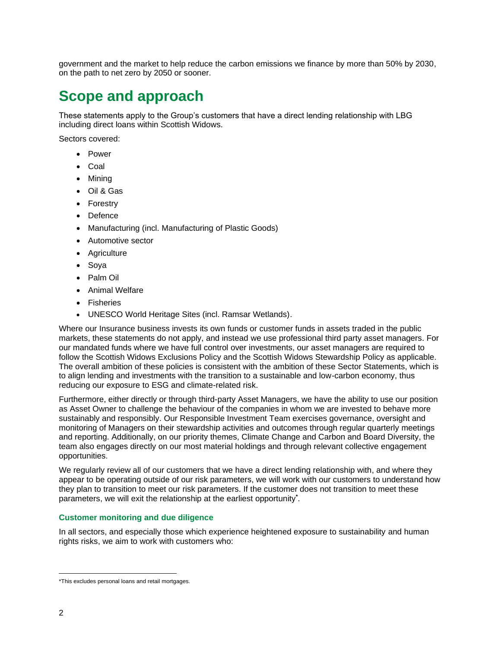government and the market to help reduce the carbon emissions we finance by more than 50% by 2030, on the path to net zero by 2050 or sooner.

# **Scope and approach**

These statements apply to the Group's customers that have a direct lending relationship with LBG including direct loans within Scottish Widows.

Sectors covered:

- Power
- Coal
- Mining
- Oil & Gas
- Forestry
- Defence
- Manufacturing (incl. Manufacturing of Plastic Goods)
- Automotive sector
- Agriculture
- Soya
- Palm Oil
- Animal Welfare
- Fisheries
- UNESCO World Heritage Sites (incl. Ramsar Wetlands).

Where our Insurance business invests its own funds or customer funds in assets traded in the public markets, these statements do not apply, and instead we use professional third party asset managers. For our mandated funds where we have full control over investments, our asset managers are required to follow the Scottish Widows Exclusions Policy and the Scottish Widows Stewardship Policy as applicable. The overall ambition of these policies is consistent with the ambition of these Sector Statements, which is to align lending and investments with the transition to a sustainable and low-carbon economy, thus reducing our exposure to ESG and climate-related risk.

Furthermore, either directly or through third-party Asset Managers, we have the ability to use our position as Asset Owner to challenge the behaviour of the companies in whom we are invested to behave more sustainably and responsibly. Our Responsible Investment Team exercises governance, oversight and monitoring of Managers on their stewardship activities and outcomes through regular quarterly meetings and reporting. Additionally, on our priority themes, Climate Change and Carbon and Board Diversity, the team also engages directly on our most material holdings and through relevant collective engagement opportunities.

We regularly review all of our customers that we have a direct lending relationship with, and where they appear to be operating outside of our risk parameters, we will work with our customers to understand how they plan to transition to meet our risk parameters. If the customer does not transition to meet these parameters, we will exit the relationship at the earliest opportunity**\*** .

#### **Customer monitoring and due diligence**

In all sectors, and especially those which experience heightened exposure to sustainability and human rights risks, we aim to work with customers who:

<sup>\*</sup>This excludes personal loans and retail mortgages.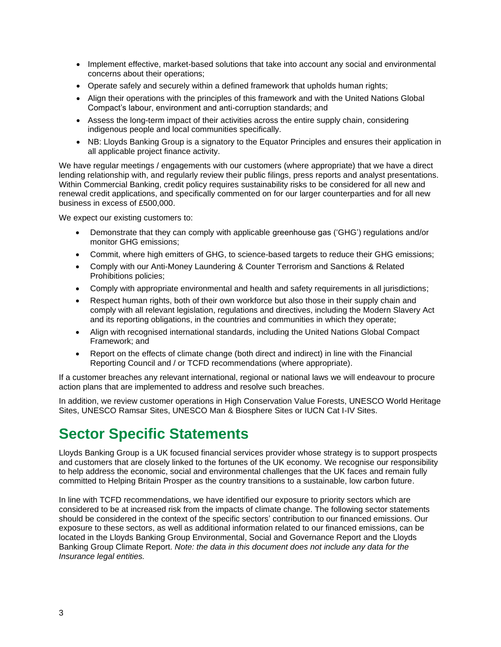- Implement effective, market-based solutions that take into account any social and environmental concerns about their operations;
- Operate safely and securely within a defined framework that upholds human rights;
- Align their operations with the principles of this framework and with the United Nations Global Compact's labour, environment and anti-corruption standards; and
- Assess the long-term impact of their activities across the entire supply chain, considering indigenous people and local communities specifically.
- NB: Lloyds Banking Group is a signatory to the Equator Principles and ensures their application in all applicable project finance activity.

We have regular meetings / engagements with our customers (where appropriate) that we have a direct lending relationship with, and regularly review their public filings, press reports and analyst presentations. Within Commercial Banking, credit policy requires sustainability risks to be considered for all new and renewal credit applications, and specifically commented on for our larger counterparties and for all new business in excess of £500,000.

We expect our existing customers to:

- Demonstrate that they can comply with applicable greenhouse gas ('GHG') regulations and/or monitor GHG emissions;
- Commit, where high emitters of GHG, to science-based targets to reduce their GHG emissions;
- Comply with our Anti-Money Laundering & Counter Terrorism and Sanctions & Related Prohibitions policies;
- Comply with appropriate environmental and health and safety requirements in all jurisdictions;
- Respect human rights, both of their own workforce but also those in their supply chain and comply with all relevant legislation, regulations and directives, including the Modern Slavery Act and its reporting obligations, in the countries and communities in which they operate;
- Align with recognised international standards, including the United Nations Global Compact Framework; and
- Report on the effects of climate change (both direct and indirect) in line with the Financial Reporting Council and / or TCFD recommendations (where appropriate).

If a customer breaches any relevant international, regional or national laws we will endeavour to procure action plans that are implemented to address and resolve such breaches.

In addition, we review customer operations in High Conservation Value Forests, UNESCO World Heritage Sites, UNESCO Ramsar Sites, UNESCO Man & Biosphere Sites or IUCN Cat I-IV Sites.

# **Sector Specific Statements**

Lloyds Banking Group is a UK focused financial services provider whose strategy is to support prospects and customers that are closely linked to the fortunes of the UK economy. We recognise our responsibility to help address the economic, social and environmental challenges that the UK faces and remain fully committed to Helping Britain Prosper as the country transitions to a sustainable, low carbon future.

In line with TCFD recommendations, we have identified our exposure to priority sectors which are considered to be at increased risk from the impacts of climate change. The following sector statements should be considered in the context of the specific sectors' contribution to our financed emissions. Our exposure to these sectors, as well as additional information related to our financed emissions, can be located in the Lloyds Banking Group Environmental, Social and Governance Report and the Lloyds Banking Group Climate Report. *Note: the data in this document does not include any data for the Insurance legal entities.*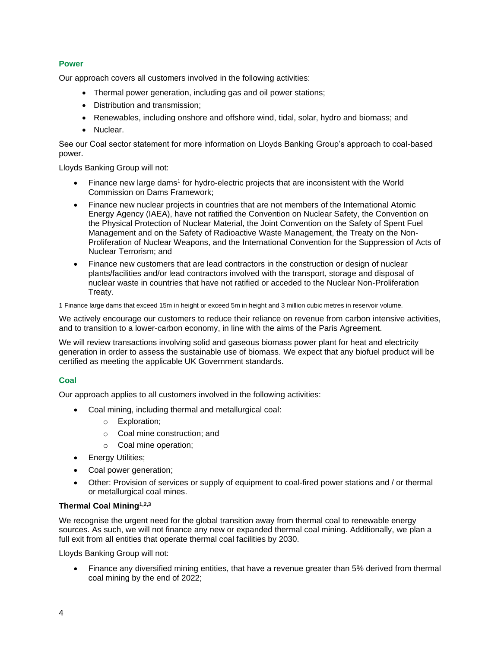## **Power**

Our approach covers all customers involved in the following activities:

- Thermal power generation, including gas and oil power stations;
- Distribution and transmission;
- Renewables, including onshore and offshore wind, tidal, solar, hydro and biomass; and
- Nuclear.

See our Coal sector statement for more information on Lloyds Banking Group's approach to coal-based power.

Lloyds Banking Group will not:

- Finance new large dams<sup>1</sup> for hydro-electric projects that are inconsistent with the World Commission on Dams Framework;
- Finance new nuclear projects in countries that are not members of the International Atomic Energy Agency (IAEA), have not ratified the Convention on Nuclear Safety, the Convention on the Physical Protection of Nuclear Material, the Joint Convention on the Safety of Spent Fuel Management and on the Safety of Radioactive Waste Management, the Treaty on the Non-Proliferation of Nuclear Weapons, and the International Convention for the Suppression of Acts of Nuclear Terrorism; and
- Finance new customers that are lead contractors in the construction or design of nuclear plants/facilities and/or lead contractors involved with the transport, storage and disposal of nuclear waste in countries that have not ratified or acceded to the Nuclear Non-Proliferation Treaty.

1 Finance large dams that exceed 15m in height or exceed 5m in height and 3 million cubic metres in reservoir volume.

We actively encourage our customers to reduce their reliance on revenue from carbon intensive activities, and to transition to a lower-carbon economy, in line with the aims of the Paris Agreement.

We will review transactions involving solid and gaseous biomass power plant for heat and electricity generation in order to assess the sustainable use of biomass. We expect that any biofuel product will be certified as meeting the applicable UK Government standards.

# **Coal**

Our approach applies to all customers involved in the following activities:

- Coal mining, including thermal and metallurgical coal:
	- o Exploration;
	- o Coal mine construction; and
	- o Coal mine operation;
- Energy Utilities;
- Coal power generation;
- Other: Provision of services or supply of equipment to coal-fired power stations and / or thermal or metallurgical coal mines.

#### **Thermal Coal Mining 1,2,3**

We recognise the urgent need for the global transition away from thermal coal to renewable energy sources. As such, we will not finance any new or expanded thermal coal mining. Additionally, we plan a full exit from all entities that operate thermal coal facilities by 2030.

Lloyds Banking Group will not:

• Finance any diversified mining entities, that have a revenue greater than 5% derived from thermal coal mining by the end of 2022;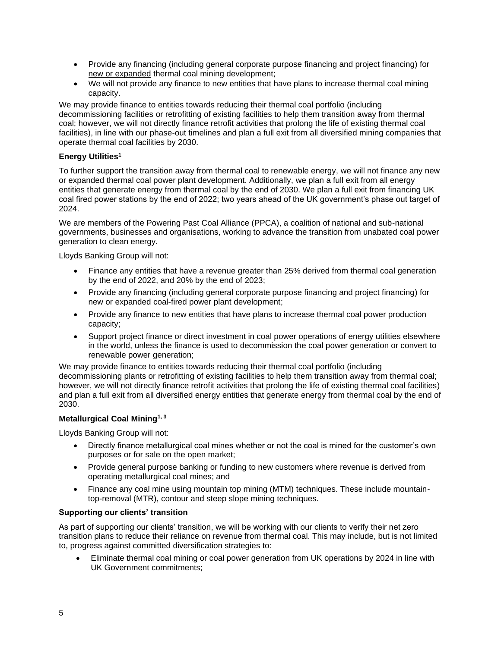- Provide any financing (including general corporate purpose financing and project financing) for new or expanded thermal coal mining development;
- We will not provide any finance to new entities that have plans to increase thermal coal mining capacity.

We may provide finance to entities towards reducing their thermal coal portfolio (including decommissioning facilities or retrofitting of existing facilities to help them transition away from thermal coal; however, we will not directly finance retrofit activities that prolong the life of existing thermal coal facilities), in line with our phase-out timelines and plan a full exit from all diversified mining companies that operate thermal coal facilities by 2030.

# **Energy Utilities<sup>1</sup>**

To further support the transition away from thermal coal to renewable energy, we will not finance any new or expanded thermal coal power plant development. Additionally, we plan a full exit from all energy entities that generate energy from thermal coal by the end of 2030. We plan a full exit from financing UK coal fired power stations by the end of 2022; two years ahead of the UK government's phase out target of 2024.

We are members of the Powering Past Coal Alliance (PPCA), a coalition of national and sub-national governments, businesses and organisations, working to advance the transition from unabated coal power generation to clean energy.

Lloyds Banking Group will not:

- Finance any entities that have a revenue greater than 25% derived from thermal coal generation by the end of 2022, and 20% by the end of 2023;
- Provide any financing (including general corporate purpose financing and project financing) for new or expanded coal-fired power plant development;
- Provide any finance to new entities that have plans to increase thermal coal power production capacity;
- Support project finance or direct investment in coal power operations of energy utilities elsewhere in the world, unless the finance is used to decommission the coal power generation or convert to renewable power generation;

We may provide finance to entities towards reducing their thermal coal portfolio (including decommissioning plants or retrofitting of existing facilities to help them transition away from thermal coal; however, we will not directly finance retrofit activities that prolong the life of existing thermal coal facilities) and plan a full exit from all diversified energy entities that generate energy from thermal coal by the end of 2030.

# **Metallurgical Coal Mining1, 3**

Lloyds Banking Group will not:

- Directly finance metallurgical coal mines whether or not the coal is mined for the customer's own purposes or for sale on the open market;
- Provide general purpose banking or funding to new customers where revenue is derived from operating metallurgical coal mines; and
- Finance any coal mine using mountain top mining (MTM) techniques. These include mountaintop-removal (MTR), contour and steep slope mining techniques.

# **Supporting our clients' transition**

As part of supporting our clients' transition, we will be working with our clients to verify their net zero transition plans to reduce their reliance on revenue from thermal coal. This may include, but is not limited to, progress against committed diversification strategies to:

• Eliminate thermal coal mining or coal power generation from UK operations by 2024 in line with UK Government commitments;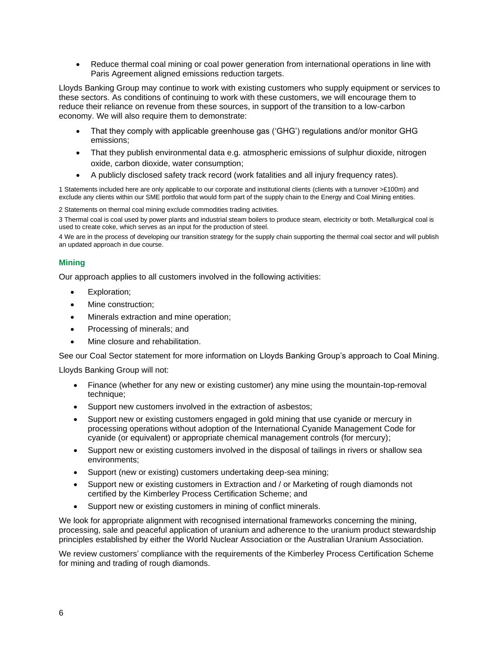• Reduce thermal coal mining or coal power generation from international operations in line with Paris Agreement aligned emissions reduction targets.

Lloyds Banking Group may continue to work with existing customers who supply equipment or services to these sectors. As conditions of continuing to work with these customers, we will encourage them to reduce their reliance on revenue from these sources, in support of the transition to a low-carbon economy. We will also require them to demonstrate:

- That they comply with applicable greenhouse gas ('GHG') regulations and/or monitor GHG emissions;
- That they publish environmental data e.g. atmospheric emissions of sulphur dioxide, nitrogen oxide, carbon dioxide, water consumption;
- A publicly disclosed safety track record (work fatalities and all injury frequency rates).

1 Statements included here are only applicable to our corporate and institutional clients (clients with a turnover >£100m) and exclude any clients within our SME portfolio that would form part of the supply chain to the Energy and Coal Mining entities.

2 Statements on thermal coal mining exclude commodities trading activities.

3 Thermal coal is coal used by power plants and industrial steam boilers to produce steam, electricity or both. Metallurgical coal is used to create coke, which serves as an input for the production of steel.

4 We are in the process of developing our transition strategy for the supply chain supporting the thermal coal sector and will publish an updated approach in due course.

# **Mining**

Our approach applies to all customers involved in the following activities:

- Exploration;
- Mine construction;
- Minerals extraction and mine operation;
- Processing of minerals; and
- Mine closure and rehabilitation.

See our Coal Sector statement for more information on Lloyds Banking Group's approach to Coal Mining.

Lloyds Banking Group will not:

- Finance (whether for any new or existing customer) any mine using the mountain-top-removal technique;
- Support new customers involved in the extraction of asbestos;
- Support new or existing customers engaged in gold mining that use cyanide or mercury in processing operations without adoption of the International Cyanide Management Code for cyanide (or equivalent) or appropriate chemical management controls (for mercury);
- Support new or existing customers involved in the disposal of tailings in rivers or shallow sea environments;
- Support (new or existing) customers undertaking deep-sea mining;
- Support new or existing customers in Extraction and / or Marketing of rough diamonds not certified by the Kimberley Process Certification Scheme; and
- Support new or existing customers in mining of conflict minerals.

We look for appropriate alignment with recognised international frameworks concerning the mining, processing, sale and peaceful application of uranium and adherence to the uranium product stewardship principles established by either the World Nuclear Association or the Australian Uranium Association.

We review customers' compliance with the requirements of the Kimberley Process Certification Scheme for mining and trading of rough diamonds.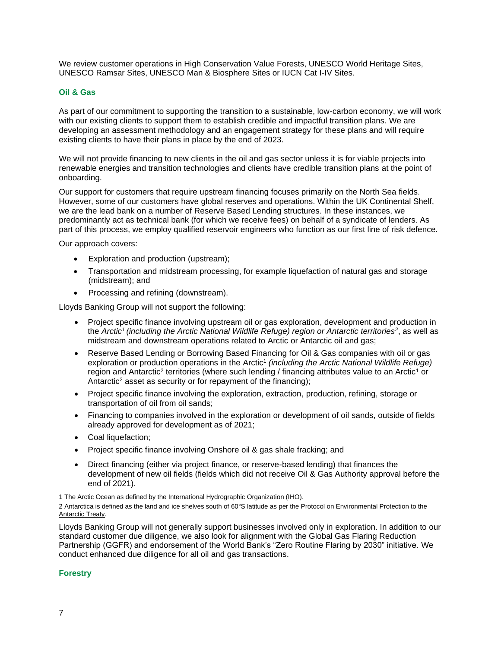We review customer operations in High Conservation Value Forests, UNESCO World Heritage Sites, UNESCO Ramsar Sites, UNESCO Man & Biosphere Sites or IUCN Cat I-IV Sites.

#### **Oil & Gas**

As part of our commitment to supporting the transition to a sustainable, low-carbon economy, we will work with our existing clients to support them to establish credible and impactful transition plans. We are developing an assessment methodology and an engagement strategy for these plans and will require existing clients to have their plans in place by the end of 2023.

We will not provide financing to new clients in the oil and gas sector unless it is for viable projects into renewable energies and transition technologies and clients have credible transition plans at the point of onboarding.

Our support for customers that require upstream financing focuses primarily on the North Sea fields. However, some of our customers have global reserves and operations. Within the UK Continental Shelf, we are the lead bank on a number of Reserve Based Lending structures. In these instances, we predominantly act as technical bank (for which we receive fees) on behalf of a syndicate of lenders. As part of this process, we employ qualified reservoir engineers who function as our first line of risk defence.

Our approach covers:

- Exploration and production (upstream);
- Transportation and midstream processing, for example liquefaction of natural gas and storage (midstream); and
- Processing and refining (downstream).

Lloyds Banking Group will not support the following:

- Project specific finance involving upstream oil or gas exploration, development and production in the *Arctic<sup>1</sup>(including the Arctic National Wildlife Refuge) region or Antarctic territories<sup>2</sup>* , as well as midstream and downstream operations related to Arctic or Antarctic oil and gas;
- Reserve Based Lending or Borrowing Based Financing for Oil & Gas companies with oil or gas exploration or production operations in the Arctic<sup>1</sup> (including the Arctic National Wildlife Refuge) region and Antarctic<sup>2</sup> territories (where such lending / financing attributes value to an Arctic<sup>1</sup> or Antarctic<sup>2</sup> asset as security or for repayment of the financing);
- Project specific finance involving the exploration, extraction, production, refining, storage or transportation of oil from oil sands;
- Financing to companies involved in the exploration or development of oil sands, outside of fields already approved for development as of 2021;
- Coal liquefaction:
- Project specific finance involving Onshore oil & gas shale fracking; and
- Direct financing (either via project finance, or reserve-based lending) that finances the development of new oil fields (fields which did not receive Oil & Gas Authority approval before the end of 2021).

1 The Arctic Ocean as defined by the International Hydrographic Organization (IHO).

2 Antarctica is defined as the land and ice shelves south of 60°S latitude as per the Protocol on Environmental Protection to the [Antarctic Treaty.](https://www.ats.aq/documents/atcm39/ww/atcm39_ww007_e.pdf)

Lloyds Banking Group will not generally support businesses involved only in exploration. In addition to our standard customer due diligence, we also look for alignment with the Global Gas Flaring Reduction Partnership (GGFR) and endorsement of the World Bank's "Zero Routine Flaring by 2030" initiative. We conduct enhanced due diligence for all oil and gas transactions.

#### **Forestry**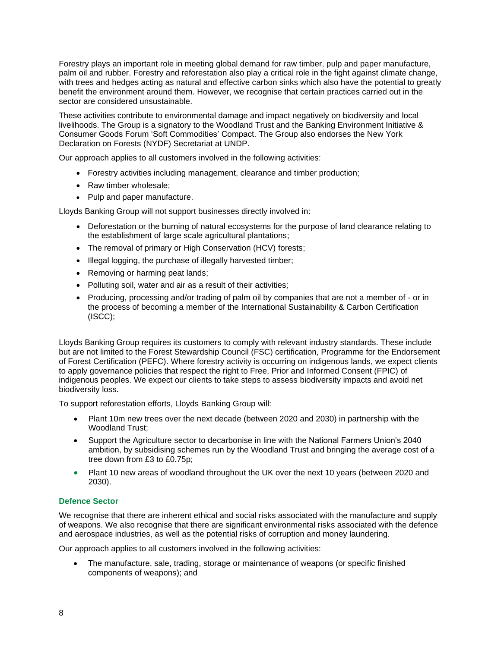Forestry plays an important role in meeting global demand for raw timber, pulp and paper manufacture, palm oil and rubber. Forestry and reforestation also play a critical role in the fight against climate change, with trees and hedges acting as natural and effective carbon sinks which also have the potential to greatly benefit the environment around them. However, we recognise that certain practices carried out in the sector are considered unsustainable.

These activities contribute to environmental damage and impact negatively on biodiversity and local livelihoods. The Group is a signatory to the Woodland Trust and the Banking Environment Initiative & Consumer Goods Forum 'Soft Commodities' Compact. The Group also endorses the New York Declaration on Forests (NYDF) Secretariat at UNDP.

Our approach applies to all customers involved in the following activities:

- Forestry activities including management, clearance and timber production;
- Raw timber wholesale;
- Pulp and paper manufacture.

Lloyds Banking Group will not support businesses directly involved in:

- Deforestation or the burning of natural ecosystems for the purpose of land clearance relating to the establishment of large scale agricultural plantations;
- The removal of primary or High Conservation (HCV) forests;
- Illegal logging, the purchase of illegally harvested timber;
- Removing or harming peat lands;
- Polluting soil, water and air as a result of their activities;
- Producing, processing and/or trading of palm oil by companies that are not a member of or in the process of becoming a member of the International Sustainability & Carbon Certification (ISCC);

Lloyds Banking Group requires its customers to comply with relevant industry standards. These include but are not limited to the Forest Stewardship Council (FSC) certification, Programme for the Endorsement of Forest Certification (PEFC). Where forestry activity is occurring on indigenous lands, we expect clients to apply governance policies that respect the right to Free, Prior and Informed Consent (FPIC) of indigenous peoples. We expect our clients to take steps to assess biodiversity impacts and avoid net biodiversity loss.

To support reforestation efforts, Lloyds Banking Group will:

- Plant 10m new trees over the next decade (between 2020 and 2030) in partnership with the Woodland Trust;
- Support the Agriculture sector to decarbonise in line with the National Farmers Union's 2040 ambition, by subsidising schemes run by the Woodland Trust and bringing the average cost of a tree down from £3 to £0.75p;
- Plant 10 new areas of woodland throughout the UK over the next 10 years (between 2020 and 2030).

#### **Defence Sector**

We recognise that there are inherent ethical and social risks associated with the manufacture and supply of weapons. We also recognise that there are significant environmental risks associated with the defence and aerospace industries, as well as the potential risks of corruption and money laundering.

Our approach applies to all customers involved in the following activities:

• The manufacture, sale, trading, storage or maintenance of weapons (or specific finished components of weapons); and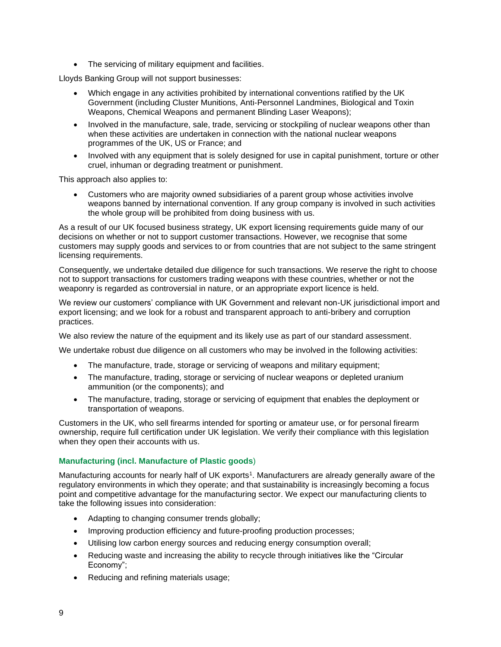• The servicing of military equipment and facilities.

Lloyds Banking Group will not support businesses:

- Which engage in any activities prohibited by international conventions ratified by the UK Government (including Cluster Munitions, Anti-Personnel Landmines, Biological and Toxin Weapons, Chemical Weapons and permanent Blinding Laser Weapons);
- Involved in the manufacture, sale, trade, servicing or stockpiling of nuclear weapons other than when these activities are undertaken in connection with the national nuclear weapons programmes of the UK, US or France; and
- Involved with any equipment that is solely designed for use in capital punishment, torture or other cruel, inhuman or degrading treatment or punishment.

This approach also applies to:

• Customers who are majority owned subsidiaries of a parent group whose activities involve weapons banned by international convention. If any group company is involved in such activities the whole group will be prohibited from doing business with us.

As a result of our UK focused business strategy, UK export licensing requirements guide many of our decisions on whether or not to support customer transactions. However, we recognise that some customers may supply goods and services to or from countries that are not subject to the same stringent licensing requirements.

Consequently, we undertake detailed due diligence for such transactions. We reserve the right to choose not to support transactions for customers trading weapons with these countries, whether or not the weaponry is regarded as controversial in nature, or an appropriate export licence is held.

We review our customers' compliance with UK Government and relevant non-UK jurisdictional import and export licensing; and we look for a robust and transparent approach to anti-bribery and corruption practices.

We also review the nature of the equipment and its likely use as part of our standard assessment.

We undertake robust due diligence on all customers who may be involved in the following activities:

- The manufacture, trade, storage or servicing of weapons and military equipment;
- The manufacture, trading, storage or servicing of nuclear weapons or depleted uranium ammunition (or the components); and
- The manufacture, trading, storage or servicing of equipment that enables the deployment or transportation of weapons.

Customers in the UK, who sell firearms intended for sporting or amateur use, or for personal firearm ownership, require full certification under UK legislation. We verify their compliance with this legislation when they open their accounts with us.

# **Manufacturing (incl. Manufacture of Plastic goods**)

Manufacturing accounts for nearly half of UK exports<sup>1</sup>. Manufacturers are already generally aware of the regulatory environments in which they operate; and that sustainability is increasingly becoming a focus point and competitive advantage for the manufacturing sector. We expect our manufacturing clients to take the following issues into consideration:

- Adapting to changing consumer trends globally;
- Improving production efficiency and future-proofing production processes;
- Utilising low carbon energy sources and reducing energy consumption overall;
- Reducing waste and increasing the ability to recycle through initiatives like the "Circular" Economy";
- Reducing and refining materials usage;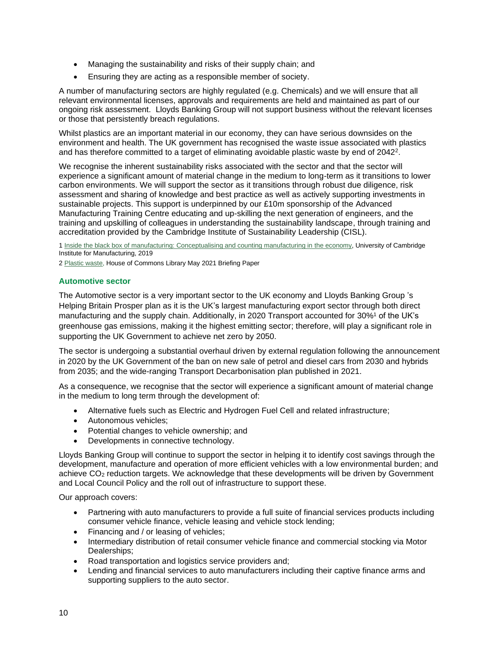- Managing the sustainability and risks of their supply chain; and
- Ensuring they are acting as a responsible member of society.

A number of manufacturing sectors are highly regulated (e.g. Chemicals) and we will ensure that all relevant environmental licenses, approvals and requirements are held and maintained as part of our ongoing risk assessment. Lloyds Banking Group will not support business without the relevant licenses or those that persistently breach regulations.

Whilst plastics are an important material in our economy, they can have serious downsides on the environment and health. The UK government has recognised the waste issue associated with plastics and has therefore committed to a target of eliminating avoidable plastic waste by end of 2042<sup>2</sup>.

We recognise the inherent sustainability risks associated with the sector and that the sector will experience a significant amount of material change in the medium to long-term as it transitions to lower carbon environments. We will support the sector as it transitions through robust due diligence, risk assessment and sharing of knowledge and best practice as well as actively supporting investments in sustainable projects. This support is underpinned by our £10m sponsorship of the Advanced Manufacturing Training Centre educating and up-skilling the next generation of engineers, and the training and upskilling of colleagues in understanding the sustainability landscape, through training and accreditation provided by the Cambridge Institute of Sustainability Leadership (CISL).

[1 Inside the black box of manufacturing: Conceptualising and counting manufacturing in the economy,](https://www.ifm.eng.cam.ac.uk/uploads/Research/CSTI/Inside_the_Black_Box_of_Manufacturing_report_FINAL_120619.pdf#:~:text=INSIDE%20THE%20BLACK%20BOX%20OF%20MANUFACTURING%3A%20CONCEPTUALISING%20AND,intellectual%20property%20services%2C%20investments%20services%2C%20and%20consultancy%20services.https://www.ifm.eng.cam.ac.uk/uploads/Research/CSTI/Inside_the_Black_Box_of_Manufacturing_report_FINAL_120619.pdf) University of Cambridge Institute for Manufacturing, 2019

2 Plastic waste, [House of Commons Library May 2021 Briefing Paper](https://researchbriefings.files.parliament.uk/documents/CBP-8515/CBP-8515.pdfr)

## **Automotive sector**

The Automotive sector is a very important sector to the UK economy and Lloyds Banking Group 's Helping Britain Prosper plan as it is the UK's largest manufacturing export sector through both direct manufacturing and the supply chain. Additionally, in 2020 Transport accounted for 30%<sup>1</sup> of the UK's greenhouse gas emissions, making it the highest emitting sector; therefore, will play a significant role in supporting the UK Government to achieve net zero by 2050.

The sector is undergoing a substantial overhaul driven by external regulation following the announcement in 2020 by the UK Government of the ban on new sale of petrol and diesel cars from 2030 and hybrids from 2035; and the wide-ranging Transport Decarbonisation plan published in 2021.

As a consequence, we recognise that the sector will experience a significant amount of material change in the medium to long term through the development of:

- Alternative fuels such as Electric and Hydrogen Fuel Cell and related infrastructure;
- Autonomous vehicles;
- Potential changes to vehicle ownership; and
- Developments in connective technology.

Lloyds Banking Group will continue to support the sector in helping it to identify cost savings through the development, manufacture and operation of more efficient vehicles with a low environmental burden; and achieve CO<sub>2</sub> reduction targets. We acknowledge that these developments will be driven by Government and Local Council Policy and the roll out of infrastructure to support these.

Our approach covers:

- Partnering with auto manufacturers to provide a full suite of financial services products including consumer vehicle finance, vehicle leasing and vehicle stock lending;
- Financing and / or leasing of vehicles;
- Intermediary distribution of retail consumer vehicle finance and commercial stocking via Motor Dealerships;
- Road transportation and logistics service providers and;
- Lending and financial services to auto manufacturers including their captive finance arms and supporting suppliers to the auto sector.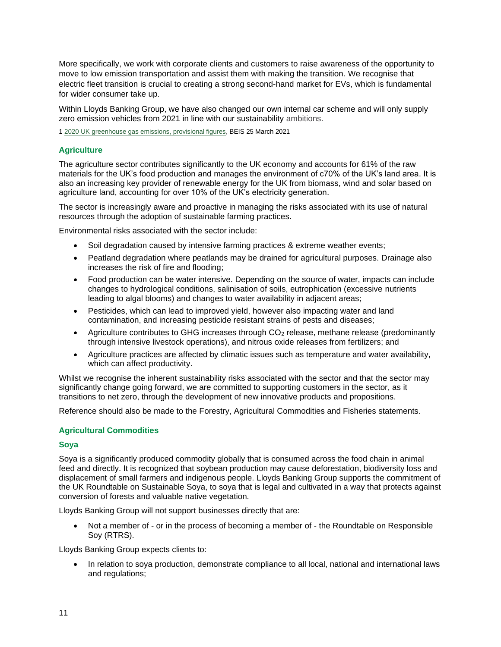More specifically, we work with corporate clients and customers to raise awareness of the opportunity to move to low emission transportation and assist them with making the transition. We recognise that electric fleet transition is crucial to creating a strong second-hand market for EVs, which is fundamental for wider consumer take up.

Within Lloyds Banking Group, we have also changed our own internal car scheme and will only supply zero emission vehicles from 2021 in line with our sustainability ambitions.

[1 2020 UK greenhouse gas emissions, provisional figures,](https://assets.publishing.service.gov.uk/government/uploads/system/uploads/attachment_data/file/972583/2020_Provisional_emissions_statistics_report.pdf) BEIS 25 March 2021

## **Agriculture**

The agriculture sector contributes significantly to the UK economy and accounts for 61% of the raw materials for the UK's food production and manages the environment of c70% of the UK's land area. It is also an increasing key provider of renewable energy for the UK from biomass, wind and solar based on agriculture land, accounting for over 10% of the UK's electricity generation.

The sector is increasingly aware and proactive in managing the risks associated with its use of natural resources through the adoption of sustainable farming practices.

Environmental risks associated with the sector include:

- Soil degradation caused by intensive farming practices & extreme weather events;
- Peatland degradation where peatlands may be drained for agricultural purposes. Drainage also increases the risk of fire and flooding;
- Food production can be water intensive. Depending on the source of water, impacts can include changes to hydrological conditions, salinisation of soils, eutrophication (excessive nutrients leading to algal blooms) and changes to water availability in adjacent areas;
- Pesticides, which can lead to improved yield, however also impacting water and land contamination, and increasing pesticide resistant strains of pests and diseases;
- Agriculture contributes to GHG increases through CO<sub>2</sub> release, methane release (predominantly through intensive livestock operations), and nitrous oxide releases from fertilizers; and
- Agriculture practices are affected by climatic issues such as temperature and water availability, which can affect productivity.

Whilst we recognise the inherent sustainability risks associated with the sector and that the sector may significantly change going forward, we are committed to supporting customers in the sector, as it transitions to net zero, through the development of new innovative products and propositions.

Reference should also be made to the Forestry, Agricultural Commodities and Fisheries statements.

#### **Agricultural Commodities**

#### **Soya**

Soya is a significantly produced commodity globally that is consumed across the food chain in animal feed and directly. It is recognized that soybean production may cause deforestation, biodiversity loss and displacement of small farmers and indigenous people. Lloyds Banking Group supports the commitment of the UK Roundtable on Sustainable Soya, to soya that is legal and cultivated in a way that protects against conversion of forests and valuable native vegetation.

Lloyds Banking Group will not support businesses directly that are:

Not a member of - or in the process of becoming a member of - the Roundtable on Responsible Soy (RTRS).

Lloyds Banking Group expects clients to:

• In relation to soya production, demonstrate compliance to all local, national and international laws and regulations;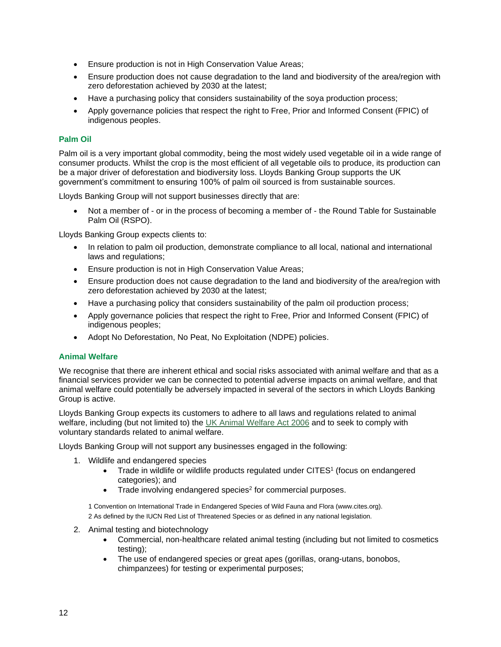- Ensure production is not in High Conservation Value Areas;
- Ensure production does not cause degradation to the land and biodiversity of the area/region with zero deforestation achieved by 2030 at the latest;
- Have a purchasing policy that considers sustainability of the soya production process;
- Apply governance policies that respect the right to Free, Prior and Informed Consent (FPIC) of indigenous peoples.

## **Palm Oil**

Palm oil is a very important global commodity, being the most widely used vegetable oil in a wide range of consumer products. Whilst the crop is the most efficient of all vegetable oils to produce, its production can be a major driver of deforestation and biodiversity loss. Lloyds Banking Group supports the UK government's commitment to ensuring 100% of palm oil sourced is from sustainable sources.

Lloyds Banking Group will not support businesses directly that are:

• Not a member of - or in the process of becoming a member of - the Round Table for Sustainable Palm Oil (RSPO).

Lloyds Banking Group expects clients to:

- In relation to palm oil production, demonstrate compliance to all local, national and international laws and regulations;
- Ensure production is not in High Conservation Value Areas;
- Ensure production does not cause degradation to the land and biodiversity of the area/region with zero deforestation achieved by 2030 at the latest;
- Have a purchasing policy that considers sustainability of the palm oil production process;
- Apply governance policies that respect the right to Free, Prior and Informed Consent (FPIC) of indigenous peoples;
- Adopt No Deforestation, No Peat, No Exploitation (NDPE) policies.

#### **Animal Welfare**

We recognise that there are inherent ethical and social risks associated with animal welfare and that as a financial services provider we can be connected to potential adverse impacts on animal welfare, and that animal welfare could potentially be adversely impacted in several of the sectors in which Lloyds Banking Group is active.

Lloyds Banking Group expects its customers to adhere to all laws and regulations related to animal welfare, including (but not limited to) the [UK Animal Welfare Act 2006](https://www.legislation.gov.uk/ukpga/2006/45/contents) and to seek to comply with voluntary standards related to animal welfare.

Lloyds Banking Group will not support any businesses engaged in the following:

- 1. Wildlife and endangered species
	- Trade in wildlife or wildlife products regulated under CITES<sup>1</sup> (focus on endangered categories); and
	- Trade involving endangered species<sup>2</sup> for commercial purposes.

1 Convention on International Trade in Endangered Species of Wild Fauna and Flora (www.cites.org). 2 As defined by the IUCN Red List of Threatened Species or as defined in any national legislation.

- 2. Animal testing and biotechnology
	- Commercial, non-healthcare related animal testing (including but not limited to cosmetics testing);
	- The use of endangered species or great apes (gorillas, orang-utans, bonobos, chimpanzees) for testing or experimental purposes;